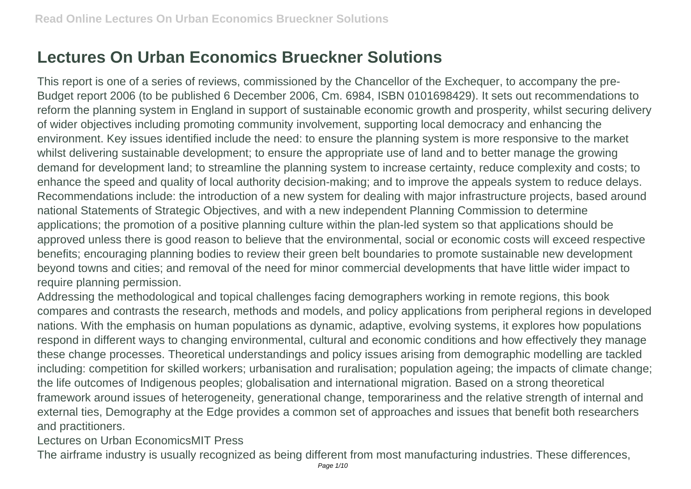## **Lectures On Urban Economics Brueckner Solutions**

This report is one of a series of reviews, commissioned by the Chancellor of the Exchequer, to accompany the pre-Budget report 2006 (to be published 6 December 2006, Cm. 6984, ISBN 0101698429). It sets out recommendations to reform the planning system in England in support of sustainable economic growth and prosperity, whilst securing delivery of wider objectives including promoting community involvement, supporting local democracy and enhancing the environment. Key issues identified include the need: to ensure the planning system is more responsive to the market whilst delivering sustainable development; to ensure the appropriate use of land and to better manage the growing demand for development land; to streamline the planning system to increase certainty, reduce complexity and costs; to enhance the speed and quality of local authority decision-making; and to improve the appeals system to reduce delays. Recommendations include: the introduction of a new system for dealing with major infrastructure projects, based around national Statements of Strategic Objectives, and with a new independent Planning Commission to determine applications; the promotion of a positive planning culture within the plan-led system so that applications should be approved unless there is good reason to believe that the environmental, social or economic costs will exceed respective benefits; encouraging planning bodies to review their green belt boundaries to promote sustainable new development beyond towns and cities; and removal of the need for minor commercial developments that have little wider impact to require planning permission.

Addressing the methodological and topical challenges facing demographers working in remote regions, this book compares and contrasts the research, methods and models, and policy applications from peripheral regions in developed nations. With the emphasis on human populations as dynamic, adaptive, evolving systems, it explores how populations respond in different ways to changing environmental, cultural and economic conditions and how effectively they manage these change processes. Theoretical understandings and policy issues arising from demographic modelling are tackled including: competition for skilled workers; urbanisation and ruralisation; population ageing; the impacts of climate change; the life outcomes of Indigenous peoples; globalisation and international migration. Based on a strong theoretical framework around issues of heterogeneity, generational change, temporariness and the relative strength of internal and external ties, Demography at the Edge provides a common set of approaches and issues that benefit both researchers and practitioners.

Lectures on Urban EconomicsMIT Press

The airframe industry is usually recognized as being different from most manufacturing industries. These differences,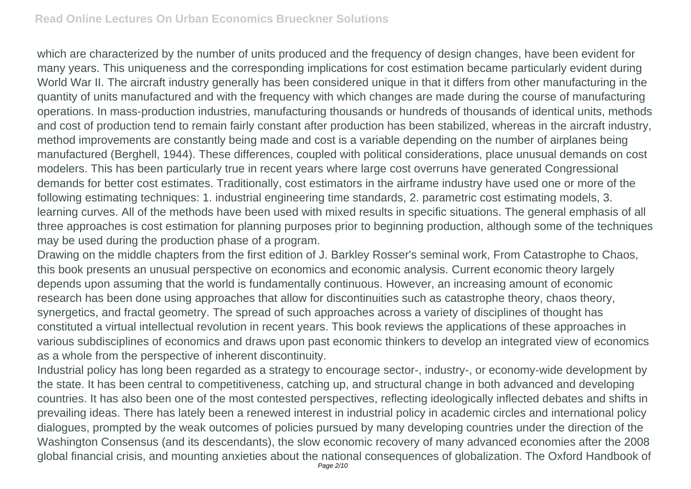which are characterized by the number of units produced and the frequency of design changes, have been evident for many years. This uniqueness and the corresponding implications for cost estimation became particularly evident during World War II. The aircraft industry generally has been considered unique in that it differs from other manufacturing in the quantity of units manufactured and with the frequency with which changes are made during the course of manufacturing operations. In mass-production industries, manufacturing thousands or hundreds of thousands of identical units, methods and cost of production tend to remain fairly constant after production has been stabilized, whereas in the aircraft industry, method improvements are constantly being made and cost is a variable depending on the number of airplanes being manufactured (Berghell, 1944). These differences, coupled with political considerations, place unusual demands on cost modelers. This has been particularly true in recent years where large cost overruns have generated Congressional demands for better cost estimates. Traditionally, cost estimators in the airframe industry have used one or more of the following estimating techniques: 1. industrial engineering time standards, 2. parametric cost estimating models, 3. learning curves. All of the methods have been used with mixed results in specific situations. The general emphasis of all three approaches is cost estimation for planning purposes prior to beginning production, although some of the techniques may be used during the production phase of a program.

Drawing on the middle chapters from the first edition of J. Barkley Rosser's seminal work, From Catastrophe to Chaos, this book presents an unusual perspective on economics and economic analysis. Current economic theory largely depends upon assuming that the world is fundamentally continuous. However, an increasing amount of economic research has been done using approaches that allow for discontinuities such as catastrophe theory, chaos theory, synergetics, and fractal geometry. The spread of such approaches across a variety of disciplines of thought has constituted a virtual intellectual revolution in recent years. This book reviews the applications of these approaches in various subdisciplines of economics and draws upon past economic thinkers to develop an integrated view of economics as a whole from the perspective of inherent discontinuity.

Industrial policy has long been regarded as a strategy to encourage sector-, industry-, or economy-wide development by the state. It has been central to competitiveness, catching up, and structural change in both advanced and developing countries. It has also been one of the most contested perspectives, reflecting ideologically inflected debates and shifts in prevailing ideas. There has lately been a renewed interest in industrial policy in academic circles and international policy dialogues, prompted by the weak outcomes of policies pursued by many developing countries under the direction of the Washington Consensus (and its descendants), the slow economic recovery of many advanced economies after the 2008 global financial crisis, and mounting anxieties about the national consequences of globalization. The Oxford Handbook of Page 2/10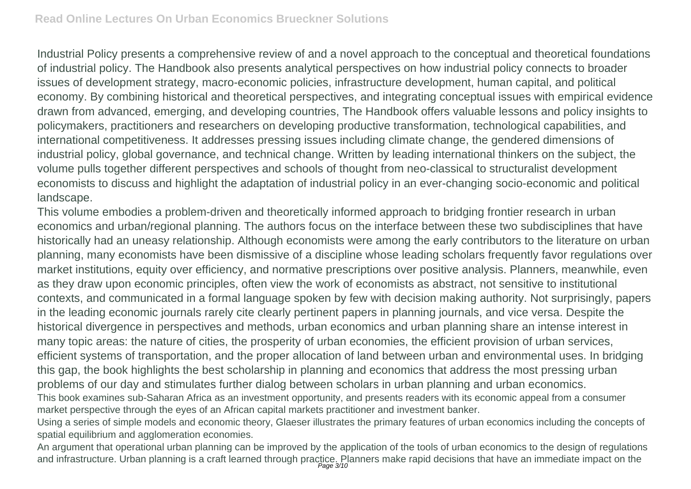Industrial Policy presents a comprehensive review of and a novel approach to the conceptual and theoretical foundations of industrial policy. The Handbook also presents analytical perspectives on how industrial policy connects to broader issues of development strategy, macro-economic policies, infrastructure development, human capital, and political economy. By combining historical and theoretical perspectives, and integrating conceptual issues with empirical evidence drawn from advanced, emerging, and developing countries, The Handbook offers valuable lessons and policy insights to policymakers, practitioners and researchers on developing productive transformation, technological capabilities, and international competitiveness. It addresses pressing issues including climate change, the gendered dimensions of industrial policy, global governance, and technical change. Written by leading international thinkers on the subject, the volume pulls together different perspectives and schools of thought from neo-classical to structuralist development economists to discuss and highlight the adaptation of industrial policy in an ever-changing socio-economic and political landscape.

This volume embodies a problem-driven and theoretically informed approach to bridging frontier research in urban economics and urban/regional planning. The authors focus on the interface between these two subdisciplines that have historically had an uneasy relationship. Although economists were among the early contributors to the literature on urban planning, many economists have been dismissive of a discipline whose leading scholars frequently favor regulations over market institutions, equity over efficiency, and normative prescriptions over positive analysis. Planners, meanwhile, even as they draw upon economic principles, often view the work of economists as abstract, not sensitive to institutional contexts, and communicated in a formal language spoken by few with decision making authority. Not surprisingly, papers in the leading economic journals rarely cite clearly pertinent papers in planning journals, and vice versa. Despite the historical divergence in perspectives and methods, urban economics and urban planning share an intense interest in many topic areas: the nature of cities, the prosperity of urban economies, the efficient provision of urban services, efficient systems of transportation, and the proper allocation of land between urban and environmental uses. In bridging this gap, the book highlights the best scholarship in planning and economics that address the most pressing urban problems of our day and stimulates further dialog between scholars in urban planning and urban economics. This book examines sub-Saharan Africa as an investment opportunity, and presents readers with its economic appeal from a consumer market perspective through the eyes of an African capital markets practitioner and investment banker.

Using a series of simple models and economic theory, Glaeser illustrates the primary features of urban economics including the concepts of spatial equilibrium and agglomeration economies.

An argument that operational urban planning can be improved by the application of the tools of urban economics to the design of regulations and infrastructure. Urban planning is a craft learned through practice. Planners make rapid decisions that have an immediate impact on the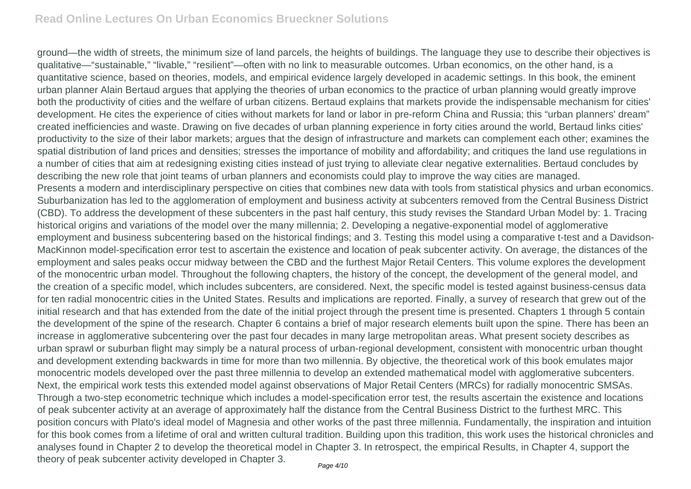ground—the width of streets, the minimum size of land parcels, the heights of buildings. The language they use to describe their objectives is qualitative—"sustainable," "livable," "resilient"—often with no link to measurable outcomes. Urban economics, on the other hand, is a quantitative science, based on theories, models, and empirical evidence largely developed in academic settings. In this book, the eminent urban planner Alain Bertaud argues that applying the theories of urban economics to the practice of urban planning would greatly improve both the productivity of cities and the welfare of urban citizens. Bertaud explains that markets provide the indispensable mechanism for cities' development. He cites the experience of cities without markets for land or labor in pre-reform China and Russia; this "urban planners' dream" created inefficiencies and waste. Drawing on five decades of urban planning experience in forty cities around the world, Bertaud links cities' productivity to the size of their labor markets; argues that the design of infrastructure and markets can complement each other; examines the spatial distribution of land prices and densities; stresses the importance of mobility and affordability; and critiques the land use regulations in a number of cities that aim at redesigning existing cities instead of just trying to alleviate clear negative externalities. Bertaud concludes by describing the new role that joint teams of urban planners and economists could play to improve the way cities are managed. Presents a modern and interdisciplinary perspective on cities that combines new data with tools from statistical physics and urban economics. Suburbanization has led to the agglomeration of employment and business activity at subcenters removed from the Central Business District (CBD). To address the development of these subcenters in the past half century, this study revises the Standard Urban Model by: 1. Tracing historical origins and variations of the model over the many millennia; 2. Developing a negative-exponential model of agglomerative employment and business subcentering based on the historical findings; and 3. Testing this model using a comparative t-test and a Davidson-MacKinnon model-specification error test to ascertain the existence and location of peak subcenter activity. On average, the distances of the employment and sales peaks occur midway between the CBD and the furthest Major Retail Centers. This volume explores the development of the monocentric urban model. Throughout the following chapters, the history of the concept, the development of the general model, and the creation of a specific model, which includes subcenters, are considered. Next, the specific model is tested against business-census data for ten radial monocentric cities in the United States. Results and implications are reported. Finally, a survey of research that grew out of the initial research and that has extended from the date of the initial project through the present time is presented. Chapters 1 through 5 contain the development of the spine of the research. Chapter 6 contains a brief of major research elements built upon the spine. There has been an increase in agglomerative subcentering over the past four decades in many large metropolitan areas. What present society describes as urban sprawl or suburban flight may simply be a natural process of urban-regional development, consistent with monocentric urban thought and development extending backwards in time for more than two millennia. By objective, the theoretical work of this book emulates major monocentric models developed over the past three millennia to develop an extended mathematical model with agglomerative subcenters. Next, the empirical work tests this extended model against observations of Major Retail Centers (MRCs) for radially monocentric SMSAs. Through a two-step econometric technique which includes a model-specification error test, the results ascertain the existence and locations of peak subcenter activity at an average of approximately half the distance from the Central Business District to the furthest MRC. This position concurs with Plato's ideal model of Magnesia and other works of the past three millennia. Fundamentally, the inspiration and intuition for this book comes from a lifetime of oral and written cultural tradition. Building upon this tradition, this work uses the historical chronicles and analyses found in Chapter 2 to develop the theoretical model in Chapter 3. In retrospect, the empirical Results, in Chapter 4, support the theory of peak subcenter activity developed in Chapter 3.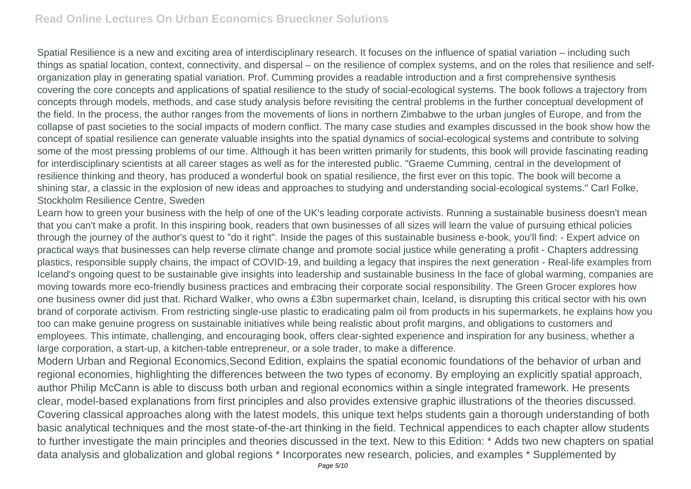Spatial Resilience is a new and exciting area of interdisciplinary research. It focuses on the influence of spatial variation – including such things as spatial location, context, connectivity, and dispersal – on the resilience of complex systems, and on the roles that resilience and selforganization play in generating spatial variation. Prof. Cumming provides a readable introduction and a first comprehensive synthesis covering the core concepts and applications of spatial resilience to the study of social-ecological systems. The book follows a trajectory from concepts through models, methods, and case study analysis before revisiting the central problems in the further conceptual development of the field. In the process, the author ranges from the movements of lions in northern Zimbabwe to the urban jungles of Europe, and from the collapse of past societies to the social impacts of modern conflict. The many case studies and examples discussed in the book show how the concept of spatial resilience can generate valuable insights into the spatial dynamics of social-ecological systems and contribute to solving some of the most pressing problems of our time. Although it has been written primarily for students, this book will provide fascinating reading for interdisciplinary scientists at all career stages as well as for the interested public. "Graeme Cumming, central in the development of resilience thinking and theory, has produced a wonderful book on spatial resilience, the first ever on this topic. The book will become a shining star, a classic in the explosion of new ideas and approaches to studying and understanding social-ecological systems." Carl Folke, Stockholm Resilience Centre, Sweden

Learn how to green your business with the help of one of the UK's leading corporate activists. Running a sustainable business doesn't mean that you can't make a profit. In this inspiring book, readers that own businesses of all sizes will learn the value of pursuing ethical policies through the journey of the author's quest to "do it right". Inside the pages of this sustainable business e-book, you'll find: - Expert advice on practical ways that businesses can help reverse climate change and promote social justice while generating a profit - Chapters addressing plastics, responsible supply chains, the impact of COVID-19, and building a legacy that inspires the next generation - Real-life examples from Iceland's ongoing quest to be sustainable give insights into leadership and sustainable business In the face of global warming, companies are moving towards more eco-friendly business practices and embracing their corporate social responsibility. The Green Grocer explores how one business owner did just that. Richard Walker, who owns a £3bn supermarket chain, Iceland, is disrupting this critical sector with his own brand of corporate activism. From restricting single-use plastic to eradicating palm oil from products in his supermarkets, he explains how you too can make genuine progress on sustainable initiatives while being realistic about profit margins, and obligations to customers and employees. This intimate, challenging, and encouraging book, offers clear-sighted experience and inspiration for any business, whether a large corporation, a start-up, a kitchen-table entrepreneur, or a sole trader, to make a difference.

Modern Urban and Regional Economics,Second Edition, explains the spatial economic foundations of the behavior of urban and regional economies, highlighting the differences between the two types of economy. By employing an explicitly spatial approach, author Philip McCann is able to discuss both urban and regional economics within a single integrated framework. He presents clear, model-based explanations from first principles and also provides extensive graphic illustrations of the theories discussed. Covering classical approaches along with the latest models, this unique text helps students gain a thorough understanding of both basic analytical techniques and the most state-of-the-art thinking in the field. Technical appendices to each chapter allow students to further investigate the main principles and theories discussed in the text. New to this Edition: \* Adds two new chapters on spatial data analysis and globalization and global regions \* Incorporates new research, policies, and examples \* Supplemented by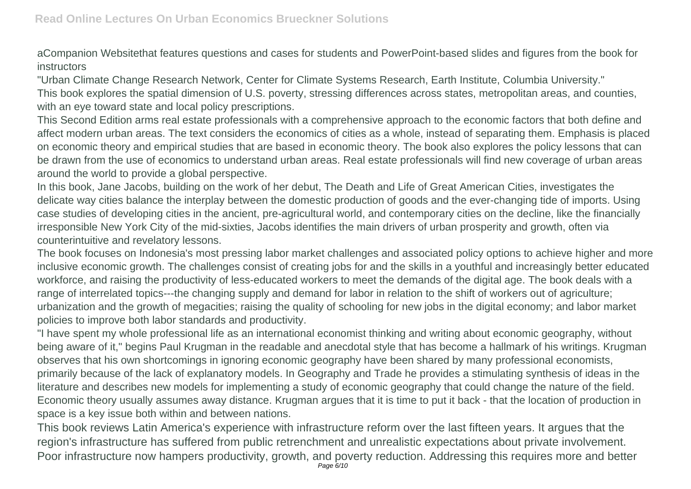aCompanion Websitethat features questions and cases for students and PowerPoint-based slides and figures from the book for instructors

"Urban Climate Change Research Network, Center for Climate Systems Research, Earth Institute, Columbia University." This book explores the spatial dimension of U.S. poverty, stressing differences across states, metropolitan areas, and counties, with an eye toward state and local policy prescriptions.

This Second Edition arms real estate professionals with a comprehensive approach to the economic factors that both define and affect modern urban areas. The text considers the economics of cities as a whole, instead of separating them. Emphasis is placed on economic theory and empirical studies that are based in economic theory. The book also explores the policy lessons that can be drawn from the use of economics to understand urban areas. Real estate professionals will find new coverage of urban areas around the world to provide a global perspective.

In this book, Jane Jacobs, building on the work of her debut, The Death and Life of Great American Cities, investigates the delicate way cities balance the interplay between the domestic production of goods and the ever-changing tide of imports. Using case studies of developing cities in the ancient, pre-agricultural world, and contemporary cities on the decline, like the financially irresponsible New York City of the mid-sixties, Jacobs identifies the main drivers of urban prosperity and growth, often via counterintuitive and revelatory lessons.

The book focuses on Indonesia's most pressing labor market challenges and associated policy options to achieve higher and more inclusive economic growth. The challenges consist of creating jobs for and the skills in a youthful and increasingly better educated workforce, and raising the productivity of less-educated workers to meet the demands of the digital age. The book deals with a range of interrelated topics---the changing supply and demand for labor in relation to the shift of workers out of agriculture; urbanization and the growth of megacities; raising the quality of schooling for new jobs in the digital economy; and labor market policies to improve both labor standards and productivity.

"I have spent my whole professional life as an international economist thinking and writing about economic geography, without being aware of it," begins Paul Krugman in the readable and anecdotal style that has become a hallmark of his writings. Krugman observes that his own shortcomings in ignoring economic geography have been shared by many professional economists, primarily because of the lack of explanatory models. In Geography and Trade he provides a stimulating synthesis of ideas in the literature and describes new models for implementing a study of economic geography that could change the nature of the field. Economic theory usually assumes away distance. Krugman argues that it is time to put it back - that the location of production in space is a key issue both within and between nations.

This book reviews Latin America's experience with infrastructure reform over the last fifteen years. It argues that the region's infrastructure has suffered from public retrenchment and unrealistic expectations about private involvement. Poor infrastructure now hampers productivity, growth, and poverty reduction. Addressing this requires more and better Page 6/10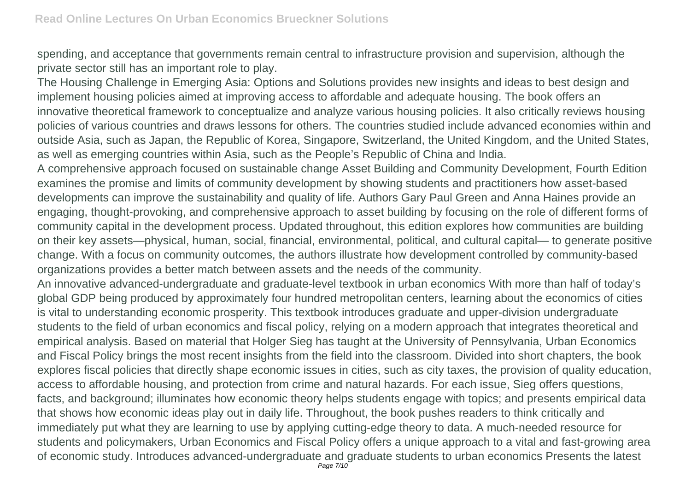spending, and acceptance that governments remain central to infrastructure provision and supervision, although the private sector still has an important role to play.

The Housing Challenge in Emerging Asia: Options and Solutions provides new insights and ideas to best design and implement housing policies aimed at improving access to affordable and adequate housing. The book offers an innovative theoretical framework to conceptualize and analyze various housing policies. It also critically reviews housing policies of various countries and draws lessons for others. The countries studied include advanced economies within and outside Asia, such as Japan, the Republic of Korea, Singapore, Switzerland, the United Kingdom, and the United States, as well as emerging countries within Asia, such as the People's Republic of China and India.

A comprehensive approach focused on sustainable change Asset Building and Community Development, Fourth Edition examines the promise and limits of community development by showing students and practitioners how asset-based developments can improve the sustainability and quality of life. Authors Gary Paul Green and Anna Haines provide an engaging, thought-provoking, and comprehensive approach to asset building by focusing on the role of different forms of community capital in the development process. Updated throughout, this edition explores how communities are building on their key assets—physical, human, social, financial, environmental, political, and cultural capital— to generate positive change. With a focus on community outcomes, the authors illustrate how development controlled by community-based organizations provides a better match between assets and the needs of the community.

An innovative advanced-undergraduate and graduate-level textbook in urban economics With more than half of today's global GDP being produced by approximately four hundred metropolitan centers, learning about the economics of cities is vital to understanding economic prosperity. This textbook introduces graduate and upper-division undergraduate students to the field of urban economics and fiscal policy, relying on a modern approach that integrates theoretical and empirical analysis. Based on material that Holger Sieg has taught at the University of Pennsylvania, Urban Economics and Fiscal Policy brings the most recent insights from the field into the classroom. Divided into short chapters, the book explores fiscal policies that directly shape economic issues in cities, such as city taxes, the provision of quality education, access to affordable housing, and protection from crime and natural hazards. For each issue, Sieg offers questions, facts, and background; illuminates how economic theory helps students engage with topics; and presents empirical data that shows how economic ideas play out in daily life. Throughout, the book pushes readers to think critically and immediately put what they are learning to use by applying cutting-edge theory to data. A much-needed resource for students and policymakers, Urban Economics and Fiscal Policy offers a unique approach to a vital and fast-growing area of economic study. Introduces advanced-undergraduate and graduate students to urban economics Presents the latest Page 7/10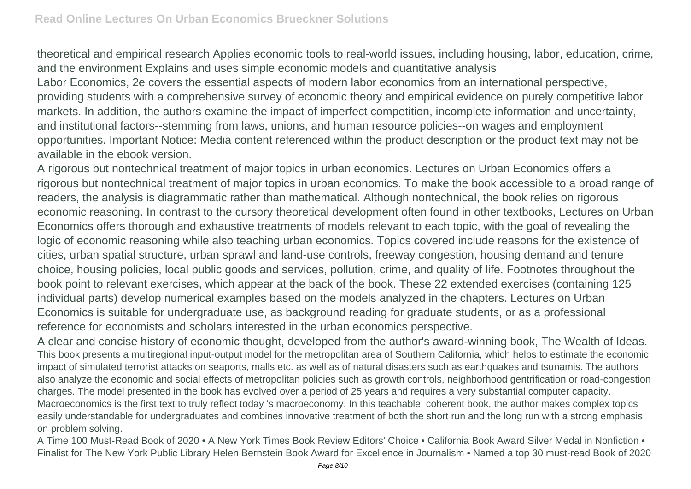theoretical and empirical research Applies economic tools to real-world issues, including housing, labor, education, crime, and the environment Explains and uses simple economic models and quantitative analysis

Labor Economics, 2e covers the essential aspects of modern labor economics from an international perspective, providing students with a comprehensive survey of economic theory and empirical evidence on purely competitive labor markets. In addition, the authors examine the impact of imperfect competition, incomplete information and uncertainty, and institutional factors--stemming from laws, unions, and human resource policies--on wages and employment opportunities. Important Notice: Media content referenced within the product description or the product text may not be available in the ebook version.

A rigorous but nontechnical treatment of major topics in urban economics. Lectures on Urban Economics offers a rigorous but nontechnical treatment of major topics in urban economics. To make the book accessible to a broad range of readers, the analysis is diagrammatic rather than mathematical. Although nontechnical, the book relies on rigorous economic reasoning. In contrast to the cursory theoretical development often found in other textbooks, Lectures on Urban Economics offers thorough and exhaustive treatments of models relevant to each topic, with the goal of revealing the logic of economic reasoning while also teaching urban economics. Topics covered include reasons for the existence of cities, urban spatial structure, urban sprawl and land-use controls, freeway congestion, housing demand and tenure choice, housing policies, local public goods and services, pollution, crime, and quality of life. Footnotes throughout the book point to relevant exercises, which appear at the back of the book. These 22 extended exercises (containing 125 individual parts) develop numerical examples based on the models analyzed in the chapters. Lectures on Urban Economics is suitable for undergraduate use, as background reading for graduate students, or as a professional reference for economists and scholars interested in the urban economics perspective.

A clear and concise history of economic thought, developed from the author's award-winning book, The Wealth of Ideas. This book presents a multiregional input-output model for the metropolitan area of Southern California, which helps to estimate the economic impact of simulated terrorist attacks on seaports, malls etc. as well as of natural disasters such as earthquakes and tsunamis. The authors also analyze the economic and social effects of metropolitan policies such as growth controls, neighborhood gentrification or road-congestion charges. The model presented in the book has evolved over a period of 25 years and requires a very substantial computer capacity. Macroeconomics is the first text to truly reflect today 's macroeconomy. In this teachable, coherent book, the author makes complex topics easily understandable for undergraduates and combines innovative treatment of both the short run and the long run with a strong emphasis on problem solving.

A Time 100 Must-Read Book of 2020 • A New York Times Book Review Editors' Choice • California Book Award Silver Medal in Nonfiction • Finalist for The New York Public Library Helen Bernstein Book Award for Excellence in Journalism • Named a top 30 must-read Book of 2020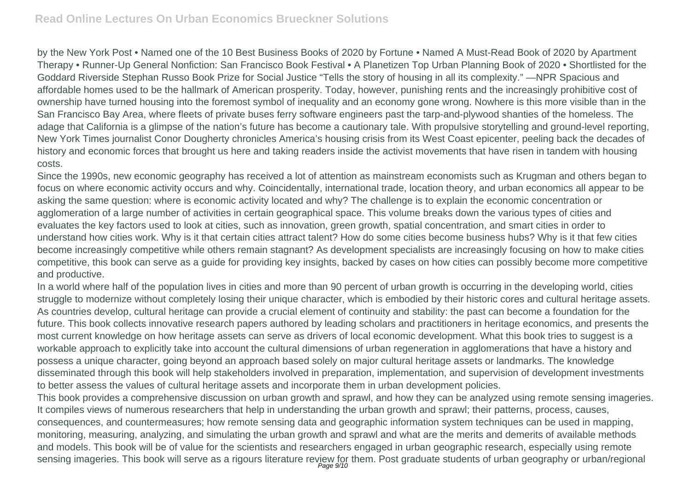by the New York Post • Named one of the 10 Best Business Books of 2020 by Fortune • Named A Must-Read Book of 2020 by Apartment Therapy • Runner-Up General Nonfiction: San Francisco Book Festival • A Planetizen Top Urban Planning Book of 2020 • Shortlisted for the Goddard Riverside Stephan Russo Book Prize for Social Justice "Tells the story of housing in all its complexity." —NPR Spacious and affordable homes used to be the hallmark of American prosperity. Today, however, punishing rents and the increasingly prohibitive cost of ownership have turned housing into the foremost symbol of inequality and an economy gone wrong. Nowhere is this more visible than in the San Francisco Bay Area, where fleets of private buses ferry software engineers past the tarp-and-plywood shanties of the homeless. The adage that California is a glimpse of the nation's future has become a cautionary tale. With propulsive storytelling and ground-level reporting, New York Times journalist Conor Dougherty chronicles America's housing crisis from its West Coast epicenter, peeling back the decades of history and economic forces that brought us here and taking readers inside the activist movements that have risen in tandem with housing costs.

Since the 1990s, new economic geography has received a lot of attention as mainstream economists such as Krugman and others began to focus on where economic activity occurs and why. Coincidentally, international trade, location theory, and urban economics all appear to be asking the same question: where is economic activity located and why? The challenge is to explain the economic concentration or agglomeration of a large number of activities in certain geographical space. This volume breaks down the various types of cities and evaluates the key factors used to look at cities, such as innovation, green growth, spatial concentration, and smart cities in order to understand how cities work. Why is it that certain cities attract talent? How do some cities become business hubs? Why is it that few cities become increasingly competitive while others remain stagnant? As development specialists are increasingly focusing on how to make cities competitive, this book can serve as a guide for providing key insights, backed by cases on how cities can possibly become more competitive and productive.

In a world where half of the population lives in cities and more than 90 percent of urban growth is occurring in the developing world, cities struggle to modernize without completely losing their unique character, which is embodied by their historic cores and cultural heritage assets. As countries develop, cultural heritage can provide a crucial element of continuity and stability: the past can become a foundation for the future. This book collects innovative research papers authored by leading scholars and practitioners in heritage economics, and presents the most current knowledge on how heritage assets can serve as drivers of local economic development. What this book tries to suggest is a workable approach to explicitly take into account the cultural dimensions of urban regeneration in agglomerations that have a history and possess a unique character, going beyond an approach based solely on major cultural heritage assets or landmarks. The knowledge disseminated through this book will help stakeholders involved in preparation, implementation, and supervision of development investments to better assess the values of cultural heritage assets and incorporate them in urban development policies.

This book provides a comprehensive discussion on urban growth and sprawl, and how they can be analyzed using remote sensing imageries. It compiles views of numerous researchers that help in understanding the urban growth and sprawl; their patterns, process, causes, consequences, and countermeasures; how remote sensing data and geographic information system techniques can be used in mapping, monitoring, measuring, analyzing, and simulating the urban growth and sprawl and what are the merits and demerits of available methods and models. This book will be of value for the scientists and researchers engaged in urban geographic research, especially using remote sensing imageries. This book will serve as a rigours literature review for them. Post graduate students of urban geography or urban/regional